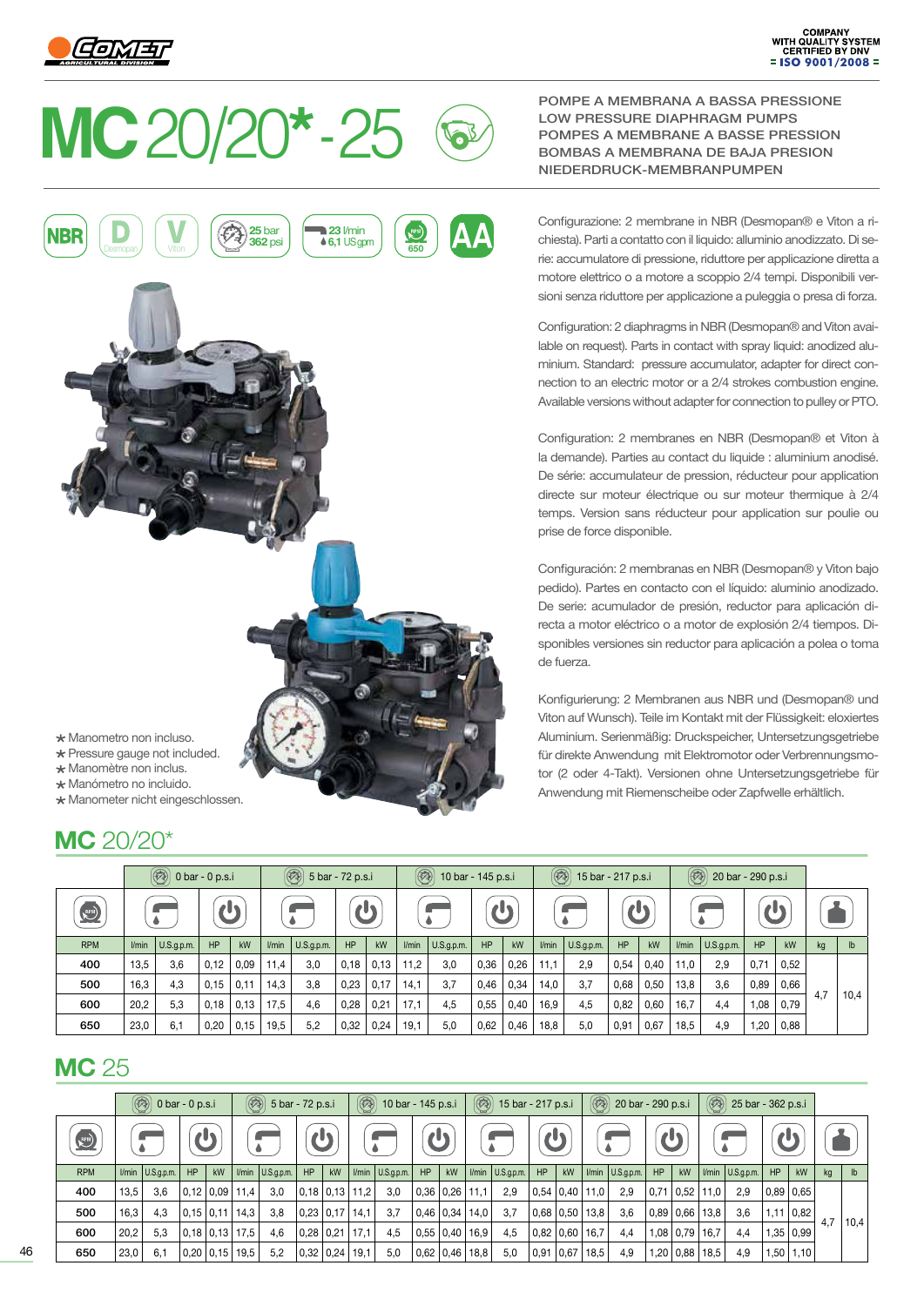

## **MC** 20/20**\*** - 25



POMPE A MEMBRANA A BASSA PRESSIONE LOW PRESSURE DIAPHRAGM PUMPS POMPES A MEMBRANE A BASSE PRESSION BOMBAS A MEMBRANA DE BAJA PRESION NIEDERDRUCK-MEMBRANPUMPEN

Configurazione: 2 membrane in NBR (Desmopan® e Viton a richiesta). Parti a contatto con il liquido: alluminio anodizzato. Di serie: accumulatore di pressione, riduttore per applicazione diretta a motore elettrico o a motore a scoppio 2/4 tempi. Disponibili versioni senza riduttore per applicazione a puleggia o presa di forza.

Configuration: 2 diaphragms in NBR (Desmopan® and Viton available on request). Parts in contact with spray liquid: anodized aluminium. Standard: pressure accumulator, adapter for direct connection to an electric motor or a 2/4 strokes combustion engine. Available versions without adapter for connection to pulley or PTO.

Configuration: 2 membranes en NBR (Desmopan® et Viton à la demande). Parties au contact du liquide : aluminium anodisé. De série: accumulateur de pression, réducteur pour application directe sur moteur électrique ou sur moteur thermique à 2/4 temps. Version sans réducteur pour application sur poulie ou prise de force disponible.

Configuración: 2 membranas en NBR (Desmopan® y Viton bajo pedido). Partes en contacto con el líquido: aluminio anodizado. De serie: acumulador de presión, reductor para aplicación directa a motor eléctrico o a motor de explosión 2/4 tiempos. Disponibles versiones sin reductor para aplicación a polea o toma de fuerza.

Konfigurierung: 2 Membranen aus NBR und (Desmopan® und Viton auf Wunsch). Teile im Kontakt mit der Flüssigkeit: eloxiertes Aluminium. Serienmäßig: Druckspeicher, Untersetzungsgetriebe für direkte Anwendung mit Elektromotor oder Verbrennungsmotor (2 oder 4-Takt). Versionen ohne Untersetzungsgetriebe für Anwendung mit Riemenscheibe oder Zapfwelle erhältlich.

Manometro non incluso.

- \* Pressure gauge not included. \* Manomètre non inclus.
- \* Manómetro no incluido.
- Manometer nicht eingeschlossen.

## **MC** 20/20\*

|            |         | $\circled{(*)}$ 0 bar - 0 p.s.i |      |      | $\circled{3}$ 5 bar - 72 p.s.i |            |           |      | $(\circledast)$<br>10 bar - 145 p.s.i |            |              |      | $\circledast$<br>15 bar - 217 p.s.i |            |      |      | $(\circledast)$<br>20 bar - 290 p.s.i |            |              |             |    |               |
|------------|---------|---------------------------------|------|------|--------------------------------|------------|-----------|------|---------------------------------------|------------|--------------|------|-------------------------------------|------------|------|------|---------------------------------------|------------|--------------|-------------|----|---------------|
| RPM)       |         |                                 | 711  |      |                                |            | rls       |      |                                       |            | $\mathbf{d}$ |      |                                     |            |      |      |                                       |            | $\mathbf{d}$ |             |    |               |
| <b>RPM</b> | $V$ min | $\big $ U.S.g.p.m.              | HP   | kW   | l/min                          | U.S.g.p.m. | <b>HP</b> | kW   | l/min                                 | U.S.g.p.m. | HP           | kW   | l/min                               | U.S.g.p.m. | HP   | kW   | l/min                                 | U.S.g.p.m. | HP           | kW          | kg | $\mathsf{lb}$ |
| 400        | 13,5    | 3.6                             | 0,12 | 0,09 | 11,4                           | 3,0        | 0,18      | 0,13 | 11,2                                  | 3,0        | 0,36         | 0,26 | 11.1                                | 2.9        | 0,54 | 0,40 | 11,0                                  | 2.9        | 0,71         | 0,52        |    |               |
| 500        | 16.3    | 4.3                             | 0,15 | 0,11 | 14,3                           | 3,8        | 0,23      | 0,17 | 14.1                                  | 3,7        | 0.46         | 0,34 | 14,0                                | 3.7        | 0,68 | 0,50 | 13,8                                  | 3,6        | 0,89         | 0,66        |    |               |
| 600        | 20,2    | 5.3                             | 0,18 | 0,13 | 17.5                           | 4.6        | 0,28      | 0,21 | 17,1                                  | 4,5        | 0,55         | 0,40 | 16,9                                | 4.5        | 0,82 | 0,60 | 16,7                                  | 4,4        | 1,08         | 4,7<br>0,79 |    | 10,4          |
| 650        | 23,0    | 6,1                             | 0,20 | 0,15 | 19,5                           | 5,2        | 0,32      | 0,24 | 19,1                                  | 5,0        | 0,62         | 0,46 | 18,8                                | 5,0        | 0,91 | 0,67 | 18,5                                  | 4,9        | 1,20         | 0,88        |    |               |

## **MC** 25

|            | $\circledast$<br>$0 \text{ bar} - 0 \text{ p.s.}$ |                      |              |                | $\circledR$<br>5 bar - 72 p.s.i |                   |             |                        | $\circledR$<br>10 bar - 145 p.s.i |                          |                |                      | $\circledR$<br>15 bar - 217 p.s.i |                    |                           |      | $(\circledast)$<br>20 bar - 290 p.s.i |                     |      |             | $\circledR$<br>25 bar - 362 p.s.i |                       |                  |             |     |               |  |
|------------|---------------------------------------------------|----------------------|--------------|----------------|---------------------------------|-------------------|-------------|------------------------|-----------------------------------|--------------------------|----------------|----------------------|-----------------------------------|--------------------|---------------------------|------|---------------------------------------|---------------------|------|-------------|-----------------------------------|-----------------------|------------------|-------------|-----|---------------|--|
| RPM)       |                                                   |                      | $\mathbf{d}$ |                |                                 |                   |             |                        |                                   |                          | <b>A</b>       |                      |                                   |                    | $\mathbf{d}_{\mathbf{L}}$ |      |                                       |                     | rly  |             |                                   |                       |                  |             |     |               |  |
| <b>RPM</b> |                                                   | $I/min$ $U.S.q.p.m.$ | HP           | kW             |                                 | $Vmin$ U.S.q.p.m. | HP          | kW                     |                                   | $l/min$ $  U.S.g.p.m.  $ | HP             | kW                   |                                   | I/min   U.S.g.p.m. | HP                        | kW   |                                       | $Vmin$   U.S.g.p.m. | HP   | kW          |                                   | $Vmin$ $ U.S.g.p.m. $ | HP               | kW          | kg  | $\mathsf{lb}$ |  |
| 400        | 13,5                                              | 3.6                  |              | 0,12 0,09      | 11.4                            | 3,0               |             | $0,18$   $0,13$   11,2 |                                   | 3.0                      | 0.36 0.26 11.1 |                      |                                   | 2.9                | $0.54 \mid 0.40$          |      | 11,0                                  | 2,9                 | 0,71 | 0.52        | 11,0                              | 2.9                   | $0.89 \mid 0.65$ |             |     |               |  |
| 500        | 16,3                                              | 4.3                  | 0,15 0,11    |                | 14,3                            | 3,8               |             | $0,23$   0,17   14,1   |                                   | 3.7                      | 0,46 0,34 14,0 |                      |                                   | 3.7                | $0.68 \mid 0.50$          |      | 13,8                                  | 3,6                 |      | 0.89   0.66 | 13,8                              | 3,6                   |                  | $1,11$ 0,82 |     |               |  |
| 600        | 20,2                                              | 5,3                  |              | 0.18 0.13 17.5 |                                 | 4,6               | $0,28$ 0.21 |                        | 17,1                              | 4.5                      |                | $0.55$ $0.40$ $16.9$ |                                   | 4,5                | $0.82 \mid 0.60$          |      | 16,7                                  | 4,4                 |      | $1,08$ 0.79 | 16,7                              | 4,4                   |                  | 1,35   0,99 | 4.7 | 10,4          |  |
| 650        | 23,0                                              | 6.1                  | 0,20         | 0,15           | 19,5                            | 5,2               |             | $0,32$   0,24   19,1   |                                   | 5,0                      |                | $0.62$ $0.46$ 18,8   |                                   | 5,0                | 0.91                      | 0,67 | 18,5                                  | 4,9                 |      | $1,20$ 0,88 | 18,5                              | 4,9                   |                  | 1,50   1,10 |     |               |  |